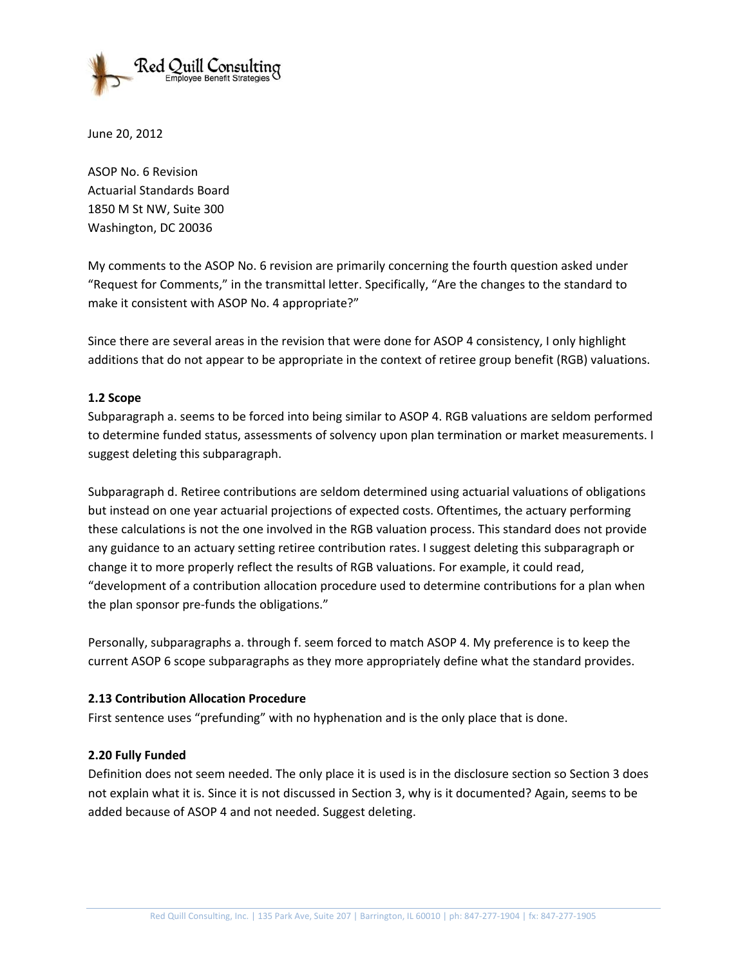

June 20, 2012

ASOP No. 6 Revision Actuarial Standards Board 1850 M St NW, Suite 300 Washington, DC 20036

My comments to the ASOP No. 6 revision are primarily concerning the fourth question asked under "Request for Comments," in the transmittal letter. Specifically, "Are the changes to the standard to make it consistent with ASOP No. 4 appropriate?"

Since there are several areas in the revision that were done for ASOP 4 consistency, I only highlight additions that do not appear to be appropriate in the context of retiree group benefit (RGB) valuations.

## **1.2 Scope**

Subparagraph a. seems to be forced into being similar to ASOP 4. RGB valuations are seldom performed to determine funded status, assessments of solvency upon plan termination or market measurements. I suggest deleting this subparagraph.

Subparagraph d. Retiree contributions are seldom determined using actuarial valuations of obligations but instead on one year actuarial projections of expected costs. Oftentimes, the actuary performing these calculations is not the one involved in the RGB valuation process. This standard does not provide any guidance to an actuary setting retiree contribution rates. I suggest deleting this subparagraph or change it to more properly reflect the results of RGB valuations. For example, it could read, "development of a contribution allocation procedure used to determine contributions for a plan when the plan sponsor pre-funds the obligations."

Personally, subparagraphs a. through f. seem forced to match ASOP 4. My preference is to keep the current ASOP 6 scope subparagraphs as they more appropriately define what the standard provides.

## **2.13 Contribution Allocation Procedure**

First sentence uses "prefunding" with no hyphenation and is the only place that is done.

## **2.20 Fully Funded**

Definition does not seem needed. The only place it is used is in the disclosure section so Section 3 does not explain what it is. Since it is not discussed in Section 3, why is it documented? Again, seems to be added because of ASOP 4 and not needed. Suggest deleting.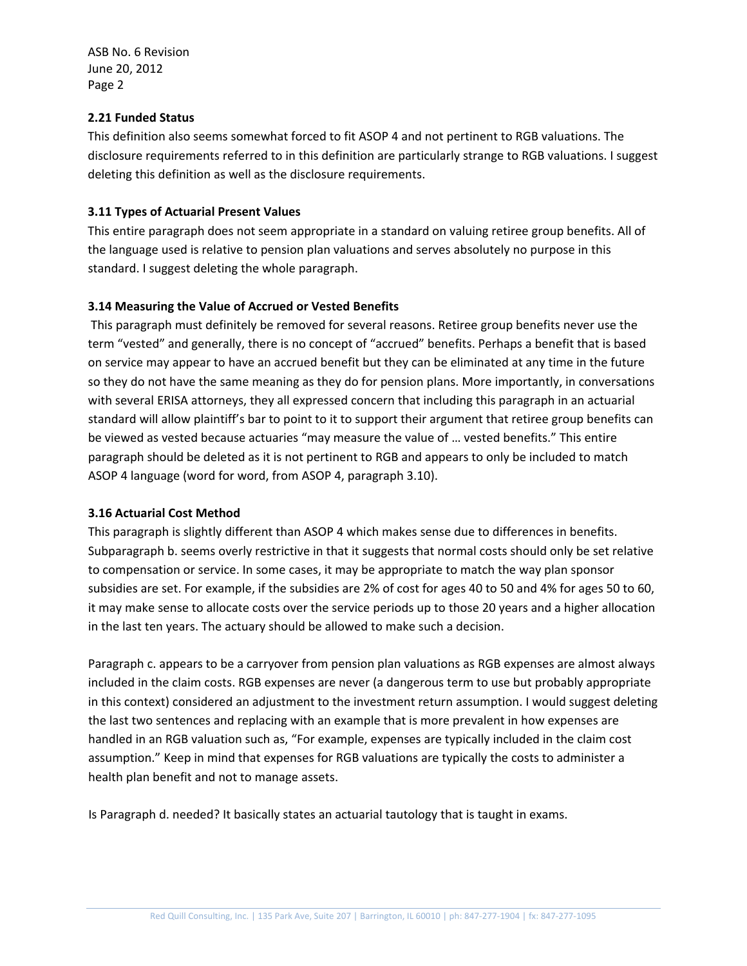ASB No. 6 Revision June 20, 2012 Page 2

#### **2.21 Funded Status**

This definition also seems somewhat forced to fit ASOP 4 and not pertinent to RGB valuations. The disclosure requirements referred to in this definition are particularly strange to RGB valuations. I suggest deleting this definition as well as the disclosure requirements.

## **3.11 Types of Actuarial Present Values**

This entire paragraph does not seem appropriate in a standard on valuing retiree group benefits. All of the language used is relative to pension plan valuations and serves absolutely no purpose in this standard. I suggest deleting the whole paragraph.

# **3.14 Measuring the Value of Accrued or Vested Benefits**

This paragraph must definitely be removed for several reasons. Retiree group benefits never use the term "vested" and generally, there is no concept of "accrued" benefits. Perhaps a benefit that is based on service may appear to have an accrued benefit but they can be eliminated at any time in the future so they do not have the same meaning as they do for pension plans. More importantly, in conversations with several ERISA attorneys, they all expressed concern that including this paragraph in an actuarial standard will allow plaintiff's bar to point to it to support their argument that retiree group benefits can be viewed as vested because actuaries "may measure the value of … vested benefits." This entire paragraph should be deleted as it is not pertinent to RGB and appears to only be included to match ASOP 4 language (word for word, from ASOP 4, paragraph 3.10).

## **3.16 Actuarial Cost Method**

This paragraph is slightly different than ASOP 4 which makes sense due to differences in benefits. Subparagraph b. seems overly restrictive in that it suggests that normal costs should only be set relative to compensation or service. In some cases, it may be appropriate to match the way plan sponsor subsidies are set. For example, if the subsidies are 2% of cost for ages 40 to 50 and 4% for ages 50 to 60, it may make sense to allocate costs over the service periods up to those 20 years and a higher allocation in the last ten years. The actuary should be allowed to make such a decision.

Paragraph c. appears to be a carryover from pension plan valuations as RGB expenses are almost always included in the claim costs. RGB expenses are never (a dangerous term to use but probably appropriate in this context) considered an adjustment to the investment return assumption. I would suggest deleting the last two sentences and replacing with an example that is more prevalent in how expenses are handled in an RGB valuation such as, "For example, expenses are typically included in the claim cost assumption." Keep in mind that expenses for RGB valuations are typically the costs to administer a health plan benefit and not to manage assets.

Is Paragraph d. needed? It basically states an actuarial tautology that is taught in exams.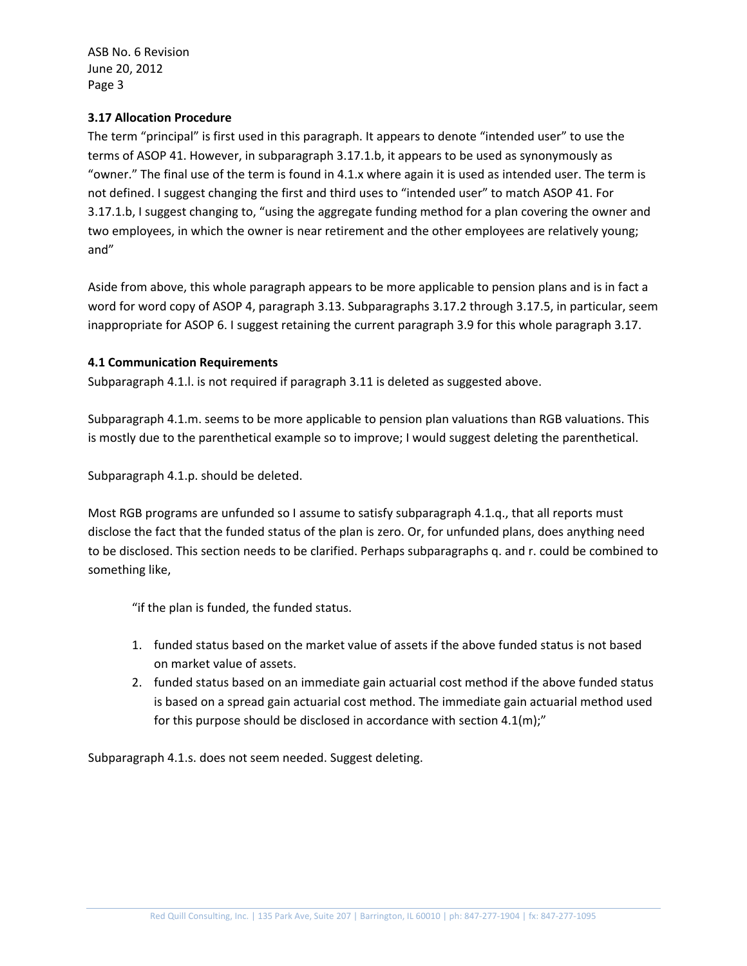ASB No. 6 Revision June 20, 2012 Page 3

## **3.17 Allocation Procedure**

The term "principal" is first used in this paragraph. It appears to denote "intended user" to use the terms of ASOP 41. However, in subparagraph 3.17.1.b, it appears to be used as synonymously as "owner." The final use of the term is found in 4.1.x where again it is used as intended user. The term is not defined. I suggest changing the first and third uses to "intended user" to match ASOP 41. For 3.17.1.b, I suggest changing to, "using the aggregate funding method for a plan covering the owner and two employees, in which the owner is near retirement and the other employees are relatively young; and"

Aside from above, this whole paragraph appears to be more applicable to pension plans and is in fact a word for word copy of ASOP 4, paragraph 3.13. Subparagraphs 3.17.2 through 3.17.5, in particular, seem inappropriate for ASOP 6. I suggest retaining the current paragraph 3.9 for this whole paragraph 3.17.

# **4.1 Communication Requirements**

Subparagraph 4.1.l. is not required if paragraph 3.11 is deleted as suggested above.

Subparagraph 4.1.m. seems to be more applicable to pension plan valuations than RGB valuations. This is mostly due to the parenthetical example so to improve; I would suggest deleting the parenthetical.

Subparagraph 4.1.p. should be deleted.

Most RGB programs are unfunded so I assume to satisfy subparagraph 4.1.q., that all reports must disclose the fact that the funded status of the plan is zero. Or, for unfunded plans, does anything need to be disclosed. This section needs to be clarified. Perhaps subparagraphs q. and r. could be combined to something like,

"if the plan is funded, the funded status.

- 1. funded status based on the market value of assets if the above funded status is not based on market value of assets.
- 2. funded status based on an immediate gain actuarial cost method if the above funded status is based on a spread gain actuarial cost method. The immediate gain actuarial method used for this purpose should be disclosed in accordance with section 4.1(m);"

Subparagraph 4.1.s. does not seem needed. Suggest deleting.